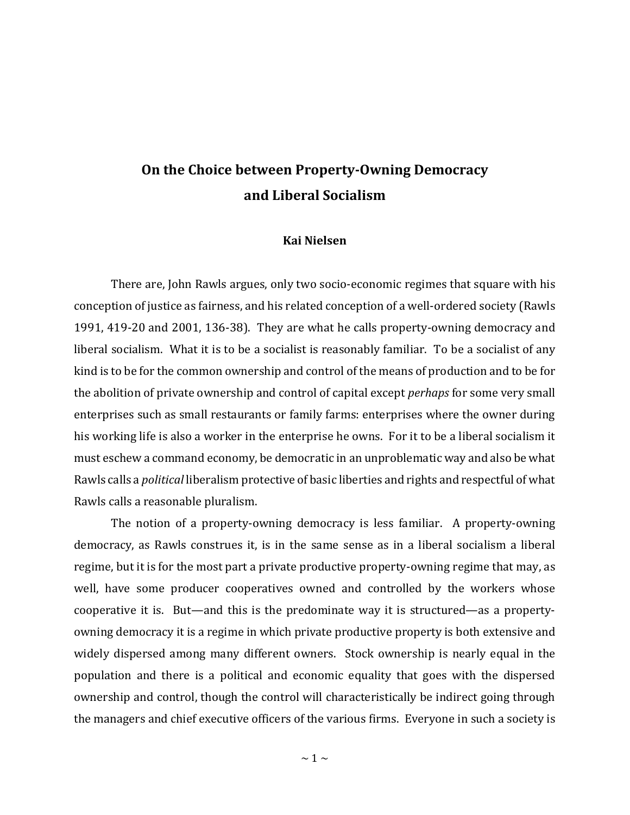## **On the Choice between Property-Owning Democracy and Liberal Socialism**

## **Kai Nielsen**

There are, John Rawls argues, only two socio-economic regimes that square with his conception of justice as fairness, and his related conception of a well-ordered society (Rawls 1991, 419-20 and 2001, 136-38). They are what he calls property-owning democracy and liberal socialism. What it is to be a socialist is reasonably familiar. To be a socialist of any kind is to be for the common ownership and control of the means of production and to be for the abolition of private ownership and control of capital except *perhaps* for some very small enterprises such as small restaurants or family farms: enterprises where the owner during his working life is also a worker in the enterprise he owns. For it to be a liberal socialism it must eschew a command economy, be democratic in an unproblematic way and also be what Rawls calls a *political* liberalism protective of basic liberties and rights and respectful of what Rawls calls a reasonable pluralism.

The notion of a property-owning democracy is less familiar. A property-owning democracy, as Rawls construes it, is in the same sense as in a liberal socialism a liberal regime, but it is for the most part a private productive property-owning regime that may, as well, have some producer cooperatives owned and controlled by the workers whose cooperative it is. But—and this is the predominate way it is structured—as a propertyowning democracy it is a regime in which private productive property is both extensive and widely dispersed among many different owners. Stock ownership is nearly equal in the population and there is a political and economic equality that goes with the dispersed ownership and control, though the control will characteristically be indirect going through the managers and chief executive officers of the various firms. Everyone in such a society is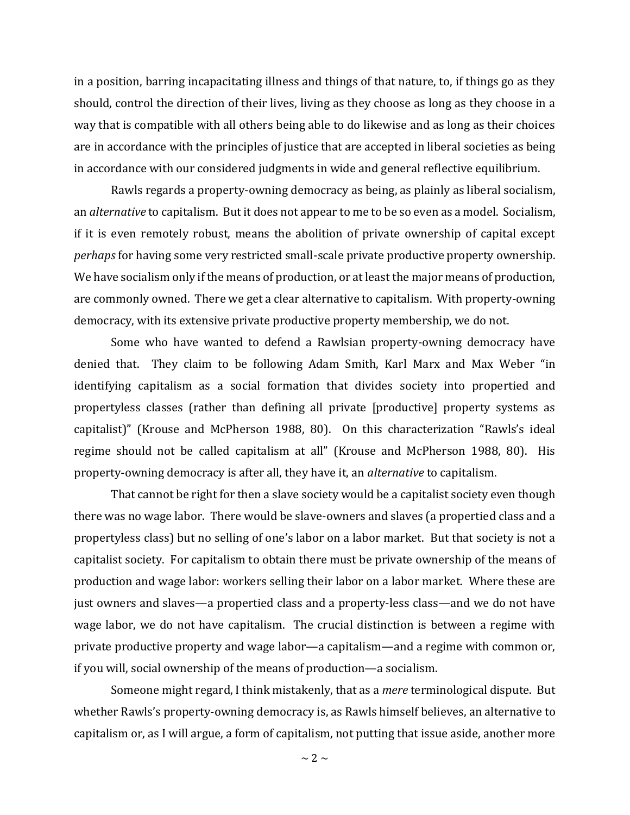in a position, barring incapacitating illness and things of that nature, to, if things go as they should, control the direction of their lives, living as they choose as long as they choose in a way that is compatible with all others being able to do likewise and as long as their choices are in accordance with the principles of justice that are accepted in liberal societies as being in accordance with our considered judgments in wide and general reflective equilibrium.

Rawls regards a property-owning democracy as being, as plainly as liberal socialism, an *alternative* to capitalism. But it does not appear to me to be so even as a model. Socialism, if it is even remotely robust, means the abolition of private ownership of capital except *perhaps* for having some very restricted small-scale private productive property ownership. We have socialism only if the means of production, or at least the major means of production, are commonly owned. There we get a clear alternative to capitalism. With property-owning democracy, with its extensive private productive property membership, we do not.

Some who have wanted to defend a Rawlsian property-owning democracy have denied that. They claim to be following Adam Smith, Karl Marx and Max Weber "in identifying capitalism as a social formation that divides society into propertied and propertyless classes (rather than defining all private [productive] property systems as capitalist)" (Krouse and McPherson 1988, 80). On this characterization "Rawls's ideal regime should not be called capitalism at all" (Krouse and McPherson 1988, 80). His property-owning democracy is after all, they have it, an *alternative* to capitalism.

That cannot be right for then a slave society would be a capitalist society even though there was no wage labor. There would be slave-owners and slaves (a propertied class and a propertyless class) but no selling of one's labor on a labor market. But that society is not a capitalist society. For capitalism to obtain there must be private ownership of the means of production and wage labor: workers selling their labor on a labor market. Where these are just owners and slaves—a propertied class and a property-less class—and we do not have wage labor, we do not have capitalism. The crucial distinction is between a regime with private productive property and wage labor—a capitalism—and a regime with common or, if you will, social ownership of the means of production—a socialism.

Someone might regard, I think mistakenly, that as a *mere* terminological dispute. But whether Rawls's property-owning democracy is, as Rawls himself believes, an alternative to capitalism or, as I will argue, a form of capitalism, not putting that issue aside, another more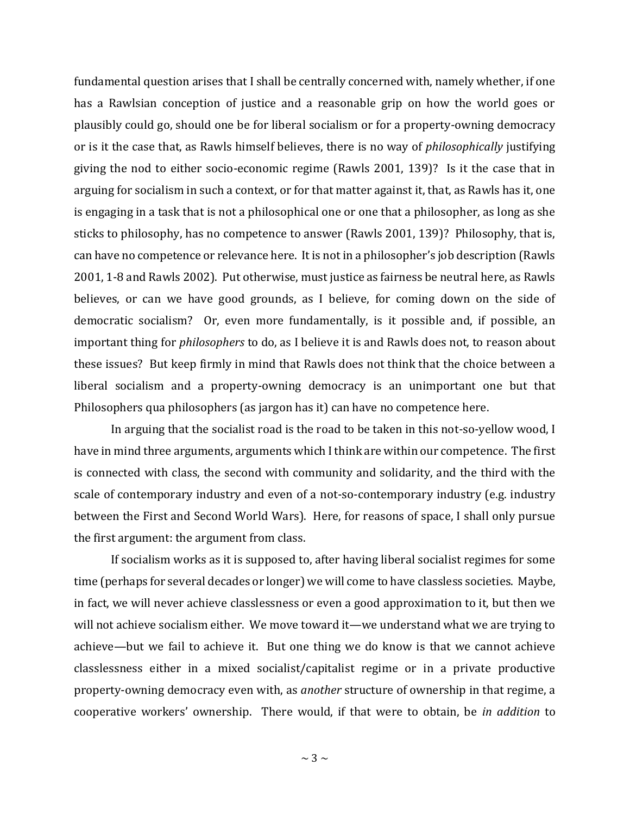fundamental question arises that I shall be centrally concerned with, namely whether, if one has a Rawlsian conception of justice and a reasonable grip on how the world goes or plausibly could go, should one be for liberal socialism or for a property-owning democracy or is it the case that, as Rawls himself believes, there is no way of *philosophically* justifying giving the nod to either socio-economic regime (Rawls 2001, 139)? Is it the case that in arguing for socialism in such a context, or for that matter against it, that, as Rawls has it, one is engaging in a task that is not a philosophical one or one that a philosopher, as long as she sticks to philosophy, has no competence to answer (Rawls 2001, 139)? Philosophy, that is, can have no competence or relevance here. It is not in a philosopher's job description (Rawls 2001, 1-8 and Rawls 2002). Put otherwise, must justice as fairness be neutral here, as Rawls believes, or can we have good grounds, as I believe, for coming down on the side of democratic socialism? Or, even more fundamentally, is it possible and, if possible, an important thing for *philosophers* to do, as I believe it is and Rawls does not, to reason about these issues? But keep firmly in mind that Rawls does not think that the choice between a liberal socialism and a property-owning democracy is an unimportant one but that Philosophers qua philosophers (as jargon has it) can have no competence here.

In arguing that the socialist road is the road to be taken in this not-so-yellow wood, I have in mind three arguments, arguments which I think are within our competence. The first is connected with class, the second with community and solidarity, and the third with the scale of contemporary industry and even of a not-so-contemporary industry (e.g. industry between the First and Second World Wars). Here, for reasons of space, I shall only pursue the first argument: the argument from class.

If socialism works as it is supposed to, after having liberal socialist regimes for some time (perhaps for several decades or longer) we will come to have classless societies. Maybe, in fact, we will never achieve classlessness or even a good approximation to it, but then we will not achieve socialism either. We move toward it—we understand what we are trying to achieve—but we fail to achieve it. But one thing we do know is that we cannot achieve classlessness either in a mixed socialist/capitalist regime or in a private productive property-owning democracy even with, as *another* structure of ownership in that regime, a cooperative workers' ownership. There would, if that were to obtain, be *in addition* to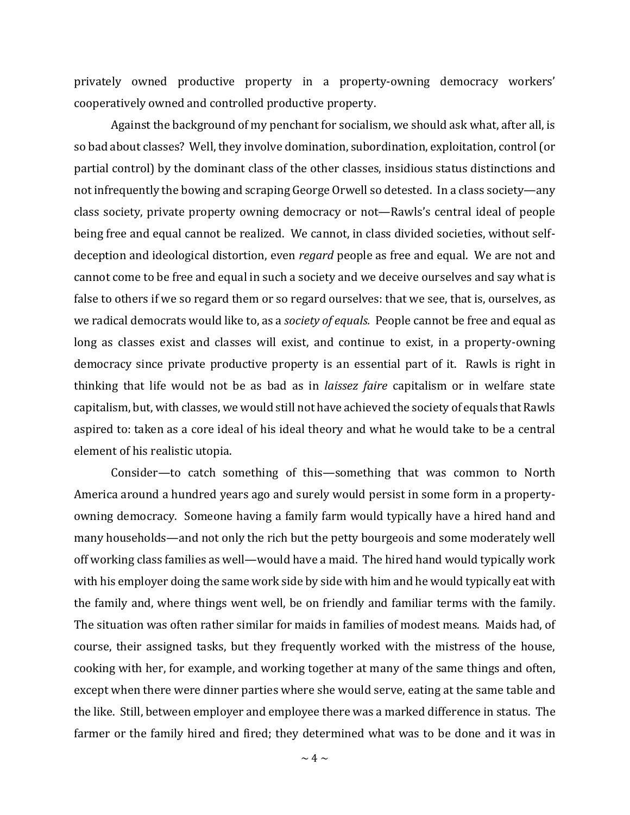privately owned productive property in a property-owning democracy workers' cooperatively owned and controlled productive property.

Against the background of my penchant for socialism, we should ask what, after all, is so bad about classes? Well, they involve domination, subordination, exploitation, control (or partial control) by the dominant class of the other classes, insidious status distinctions and not infrequently the bowing and scraping George Orwell so detested. In a class society—any class society, private property owning democracy or not—Rawls's central ideal of people being free and equal cannot be realized. We cannot, in class divided societies, without selfdeception and ideological distortion, even *regard* people as free and equal. We are not and cannot come to be free and equal in such a society and we deceive ourselves and say what is false to others if we so regard them or so regard ourselves: that we see, that is, ourselves, as we radical democrats would like to, as a *society of equals.* People cannot be free and equal as long as classes exist and classes will exist, and continue to exist, in a property-owning democracy since private productive property is an essential part of it. Rawls is right in thinking that life would not be as bad as in *laissez faire* capitalism or in welfare state capitalism, but, with classes, we would still not have achieved the society of equals that Rawls aspired to: taken as a core ideal of his ideal theory and what he would take to be a central element of his realistic utopia.

Consider—to catch something of this—something that was common to North America around a hundred years ago and surely would persist in some form in a propertyowning democracy. Someone having a family farm would typically have a hired hand and many households—and not only the rich but the petty bourgeois and some moderately well off working class families as well—would have a maid. The hired hand would typically work with his employer doing the same work side by side with him and he would typically eat with the family and, where things went well, be on friendly and familiar terms with the family. The situation was often rather similar for maids in families of modest means. Maids had, of course, their assigned tasks, but they frequently worked with the mistress of the house, cooking with her, for example, and working together at many of the same things and often, except when there were dinner parties where she would serve, eating at the same table and the like. Still, between employer and employee there was a marked difference in status. The farmer or the family hired and fired; they determined what was to be done and it was in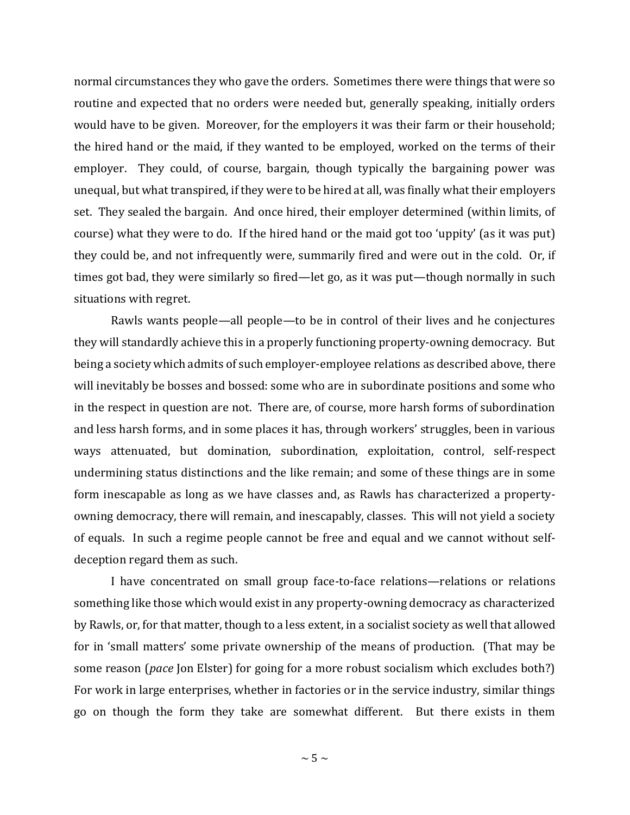normal circumstances they who gave the orders. Sometimes there were things that were so routine and expected that no orders were needed but, generally speaking, initially orders would have to be given. Moreover, for the employers it was their farm or their household; the hired hand or the maid, if they wanted to be employed, worked on the terms of their employer. They could, of course, bargain, though typically the bargaining power was unequal, but what transpired, if they were to be hired at all, was finally what their employers set. They sealed the bargain. And once hired, their employer determined (within limits, of course) what they were to do. If the hired hand or the maid got too 'uppity' (as it was put) they could be, and not infrequently were, summarily fired and were out in the cold. Or, if times got bad, they were similarly so fired—let go, as it was put—though normally in such situations with regret.

Rawls wants people—all people—to be in control of their lives and he conjectures they will standardly achieve this in a properly functioning property-owning democracy. But being a society which admits of such employer-employee relations as described above, there will inevitably be bosses and bossed: some who are in subordinate positions and some who in the respect in question are not. There are, of course, more harsh forms of subordination and less harsh forms, and in some places it has, through workers' struggles, been in various ways attenuated, but domination, subordination, exploitation, control, self-respect undermining status distinctions and the like remain; and some of these things are in some form inescapable as long as we have classes and, as Rawls has characterized a propertyowning democracy, there will remain, and inescapably, classes. This will not yield a society of equals. In such a regime people cannot be free and equal and we cannot without selfdeception regard them as such.

I have concentrated on small group face-to-face relations—relations or relations something like those which would exist in any property-owning democracy as characterized by Rawls, or, for that matter, though to a less extent, in a socialist society as well that allowed for in 'small matters' some private ownership of the means of production. (That may be some reason (*pace* Jon Elster) for going for a more robust socialism which excludes both?) For work in large enterprises, whether in factories or in the service industry, similar things go on though the form they take are somewhat different. But there exists in them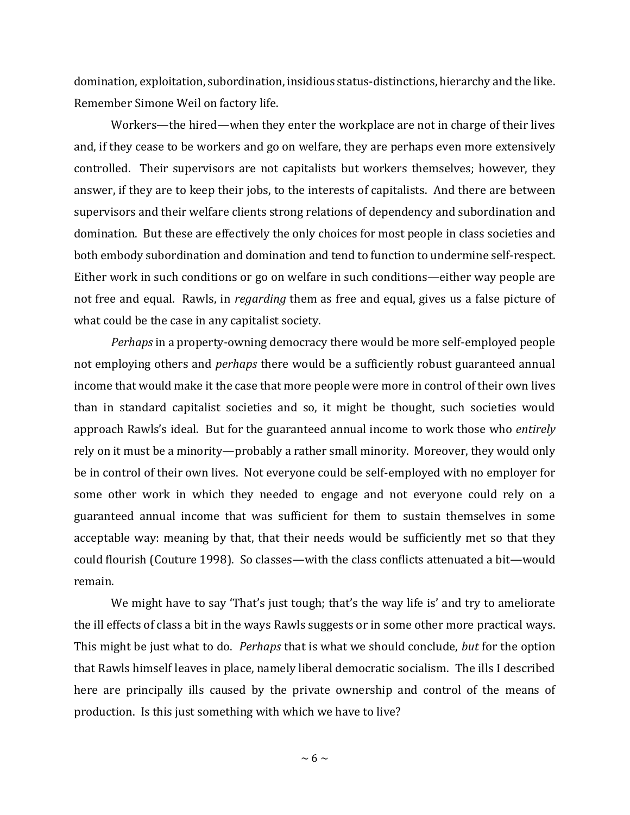domination, exploitation, subordination, insidious status-distinctions, hierarchy and the like. Remember Simone Weil on factory life.

Workers—the hired—when they enter the workplace are not in charge of their lives and, if they cease to be workers and go on welfare, they are perhaps even more extensively controlled. Their supervisors are not capitalists but workers themselves; however, they answer, if they are to keep their jobs, to the interests of capitalists. And there are between supervisors and their welfare clients strong relations of dependency and subordination and domination. But these are effectively the only choices for most people in class societies and both embody subordination and domination and tend to function to undermine self-respect. Either work in such conditions or go on welfare in such conditions—either way people are not free and equal. Rawls, in *regarding* them as free and equal, gives us a false picture of what could be the case in any capitalist society.

*Perhaps* in a property-owning democracy there would be more self-employed people not employing others and *perhaps* there would be a sufficiently robust guaranteed annual income that would make it the case that more people were more in control of their own lives than in standard capitalist societies and so, it might be thought, such societies would approach Rawls's ideal. But for the guaranteed annual income to work those who *entirely*  rely on it must be a minority—probably a rather small minority. Moreover, they would only be in control of their own lives. Not everyone could be self-employed with no employer for some other work in which they needed to engage and not everyone could rely on a guaranteed annual income that was sufficient for them to sustain themselves in some acceptable way: meaning by that, that their needs would be sufficiently met so that they could flourish (Couture 1998). So classes—with the class conflicts attenuated a bit—would remain.

We might have to say 'That's just tough; that's the way life is' and try to ameliorate the ill effects of class a bit in the ways Rawls suggests or in some other more practical ways. This might be just what to do. *Perhaps* that is what we should conclude, *but* for the option that Rawls himself leaves in place, namely liberal democratic socialism. The ills I described here are principally ills caused by the private ownership and control of the means of production. Is this just something with which we have to live?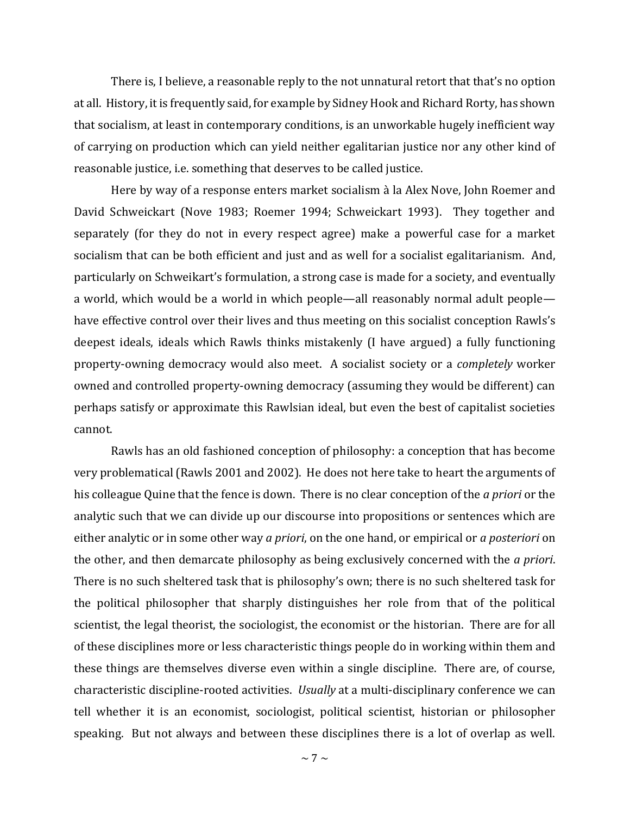There is, I believe, a reasonable reply to the not unnatural retort that that's no option at all. History, it is frequently said, for example by Sidney Hook and Richard Rorty, has shown that socialism, at least in contemporary conditions, is an unworkable hugely inefficient way of carrying on production which can yield neither egalitarian justice nor any other kind of reasonable justice, i.e. something that deserves to be called justice.

Here by way of a response enters market socialism à la Alex Nove, John Roemer and David Schweickart (Nove 1983; Roemer 1994; Schweickart 1993). They together and separately (for they do not in every respect agree) make a powerful case for a market socialism that can be both efficient and just and as well for a socialist egalitarianism. And, particularly on Schweikart's formulation, a strong case is made for a society, and eventually a world, which would be a world in which people—all reasonably normal adult people have effective control over their lives and thus meeting on this socialist conception Rawls's deepest ideals, ideals which Rawls thinks mistakenly (I have argued) a fully functioning property-owning democracy would also meet. A socialist society or a *completely* worker owned and controlled property-owning democracy (assuming they would be different) can perhaps satisfy or approximate this Rawlsian ideal, but even the best of capitalist societies cannot.

Rawls has an old fashioned conception of philosophy: a conception that has become very problematical (Rawls 2001 and 2002). He does not here take to heart the arguments of his colleague Quine that the fence is down. There is no clear conception of the *a priori* or the analytic such that we can divide up our discourse into propositions or sentences which are either analytic or in some other way *a priori*, on the one hand, or empirical or *a posteriori* on the other, and then demarcate philosophy as being exclusively concerned with the *a priori*. There is no such sheltered task that is philosophy's own; there is no such sheltered task for the political philosopher that sharply distinguishes her role from that of the political scientist, the legal theorist, the sociologist, the economist or the historian. There are for all of these disciplines more or less characteristic things people do in working within them and these things are themselves diverse even within a single discipline. There are, of course, characteristic discipline-rooted activities. *Usually* at a multi-disciplinary conference we can tell whether it is an economist, sociologist, political scientist, historian or philosopher speaking. But not always and between these disciplines there is a lot of overlap as well.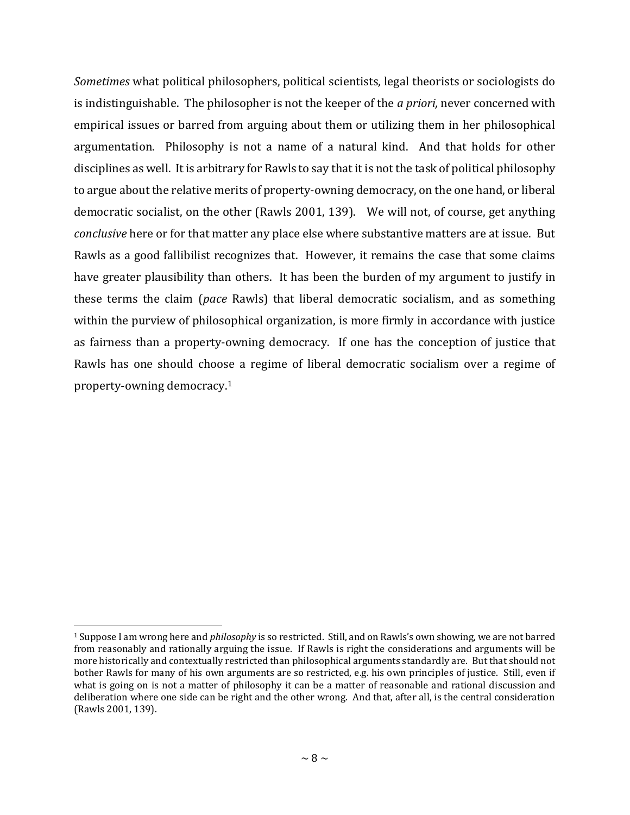*Sometimes* what political philosophers, political scientists, legal theorists or sociologists do is indistinguishable. The philosopher is not the keeper of the *a priori,* never concerned with empirical issues or barred from arguing about them or utilizing them in her philosophical argumentation. Philosophy is not a name of a natural kind. And that holds for other disciplines as well. It is arbitrary for Rawls to say that it is not the task of political philosophy to argue about the relative merits of property-owning democracy, on the one hand, or liberal democratic socialist, on the other (Rawls 2001, 139). We will not, of course, get anything *conclusive* here or for that matter any place else where substantive matters are at issue. But Rawls as a good fallibilist recognizes that. However, it remains the case that some claims have greater plausibility than others. It has been the burden of my argument to justify in these terms the claim (*pace* Rawls) that liberal democratic socialism, and as something within the purview of philosophical organization, is more firmly in accordance with justice as fairness than a property-owning democracy. If one has the conception of justice that Rawls has one should choose a regime of liberal democratic socialism over a regime of property-owning democracy.<sup>1</sup>

l

<sup>1</sup> Suppose I am wrong here and *philosophy* is so restricted. Still, and on Rawls's own showing, we are not barred from reasonably and rationally arguing the issue. If Rawls is right the considerations and arguments will be more historically and contextually restricted than philosophical arguments standardly are. But that should not bother Rawls for many of his own arguments are so restricted, e.g. his own principles of justice. Still, even if what is going on is not a matter of philosophy it can be a matter of reasonable and rational discussion and deliberation where one side can be right and the other wrong. And that, after all, is the central consideration (Rawls 2001, 139).